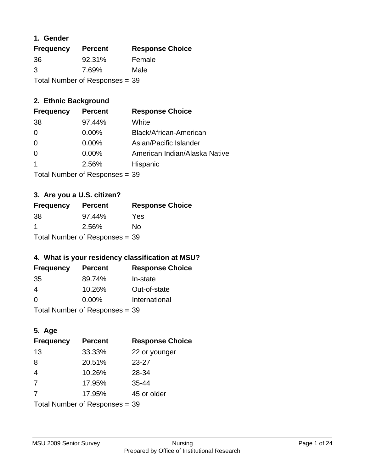#### **1. Gender**

| <b>Frequency</b> | <b>Percent</b>                 | <b>Response Choice</b> |
|------------------|--------------------------------|------------------------|
| 36               | 92.31%                         | Female                 |
| 3                | 7.69%                          | Male                   |
|                  | Total Number of Responses = 39 |                        |

# **2. Ethnic Background**

| <b>Frequency</b> | <b>Percent</b> | <b>Response Choice</b>        |
|------------------|----------------|-------------------------------|
| 38               | 97.44%         | White                         |
| $\Omega$         | $0.00\%$       | Black/African-American        |
| 0                | 0.00%          | Asian/Pacific Islander        |
| 0                | 0.00%          | American Indian/Alaska Native |
|                  | 2.56%          | Hispanic                      |
|                  |                |                               |

Total Number of Responses = 39

# **3. Are you a U.S. citizen?**

| <b>Frequency</b>               | <b>Percent</b> | <b>Response Choice</b> |
|--------------------------------|----------------|------------------------|
| -38                            | 97.44%         | Yes                    |
| -1                             | 2.56%          | N٥                     |
| Total Number of Responses = 39 |                |                        |

# **4. What is your residency classification at MSU?**

| <b>Frequency</b> | <b>Percent</b> | <b>Response Choice</b> |
|------------------|----------------|------------------------|
| -35              | 89.74%         | In-state               |
| 4                | 10.26%         | Out-of-state           |
| $\Omega$         | $0.00\%$       | International          |
|                  |                |                        |

Total Number of Responses = 39

# **5. Age**

| <b>Frequency</b>               | <b>Percent</b> | <b>Response Choice</b> |
|--------------------------------|----------------|------------------------|
| 13                             | 33.33%         | 22 or younger          |
| 8                              | 20.51%         | $23 - 27$              |
| $\overline{4}$                 | 10.26%         | 28-34                  |
| 7                              | 17.95%         | $35 - 44$              |
| 7                              | 17.95%         | 45 or older            |
| Total Number of Responses = 39 |                |                        |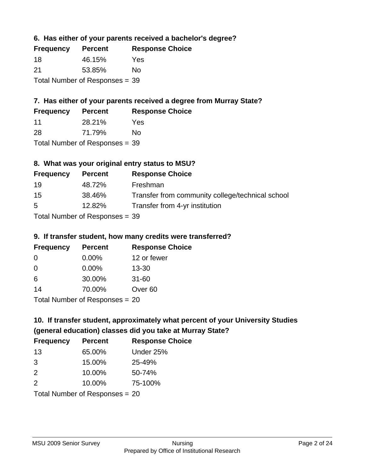#### **6. Has either of your parents received a bachelor's degree?**

| <b>Frequency</b> | <b>Percent</b>                   | <b>Response Choice</b> |
|------------------|----------------------------------|------------------------|
| 18               | 46.15%                           | Yes                    |
| 21               | 53.85%                           | Nο                     |
|                  | Total Number of Responses $= 39$ |                        |

# **7. Has either of your parents received a degree from Murray State?**

| <b>Frequency</b> | <b>Percent</b> | <b>Response Choice</b> |
|------------------|----------------|------------------------|
| -11              | 28.21%         | Yes                    |
| 00               | 74.7001        |                        |

28 71.79% No

Total Number of Responses = 39

#### **8. What was your original entry status to MSU?**

| <b>Frequency</b> | <b>Percent</b>                   | <b>Response Choice</b>                           |
|------------------|----------------------------------|--------------------------------------------------|
| 19               | 48.72%                           | Freshman                                         |
| 15               | 38.46%                           | Transfer from community college/technical school |
| 5                | 12.82%                           | Transfer from 4-yr institution                   |
|                  | Total Number of Responses $=$ 39 |                                                  |

#### **9. If transfer student, how many credits were transferred?**

| <b>Frequency</b>               | <b>Percent</b> | <b>Response Choice</b> |
|--------------------------------|----------------|------------------------|
| 0                              | $0.00\%$       | 12 or fewer            |
| 0                              | 0.00%          | $13 - 30$              |
| 6                              | 30.00%         | $31 - 60$              |
| 14                             | 70.00%         | Over <sub>60</sub>     |
| Total Number of Recnonces - 20 |                |                        |

I otal Number of Responses = 20

# **10. If transfer student, approximately what percent of your University Studies (general education) classes did you take at Murray State?**

| <b>Frequency</b>               | <b>Percent</b> | <b>Response Choice</b> |
|--------------------------------|----------------|------------------------|
| 13                             | 65.00%         | Under 25%              |
| 3                              | 15.00%         | 25-49%                 |
| 2                              | 10.00%         | 50-74%                 |
| 2                              | 10.00%         | 75-100%                |
| Total Number of Responses = 20 |                |                        |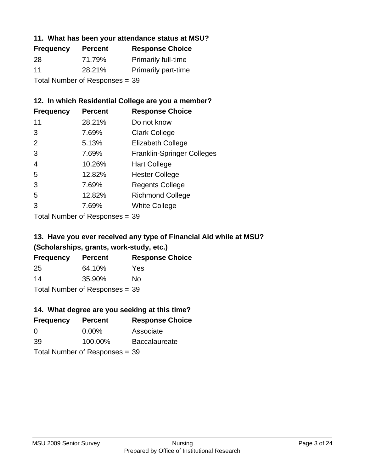#### **11. What has been your attendance status at MSU?**

| <b>Frequency</b> | <b>Percent</b>                 | <b>Response Choice</b>     |
|------------------|--------------------------------|----------------------------|
| 28               | 71.79%                         | <b>Primarily full-time</b> |
| 11               | 28.21%                         | <b>Primarily part-time</b> |
|                  | Total Number of Responses = 39 |                            |

#### **12. In which Residential College are you a member?**

| <b>Frequency</b> | <b>Percent</b> | <b>Response Choice</b>            |
|------------------|----------------|-----------------------------------|
| 11               | 28.21%         | Do not know                       |
| 3                | 7.69%          | <b>Clark College</b>              |
| 2                | 5.13%          | <b>Elizabeth College</b>          |
| 3                | 7.69%          | <b>Franklin-Springer Colleges</b> |
| 4                | 10.26%         | <b>Hart College</b>               |
| 5                | 12.82%         | <b>Hester College</b>             |
| 3                | 7.69%          | <b>Regents College</b>            |
| 5                | 12.82%         | <b>Richmond College</b>           |
| 3                | 7.69%          | <b>White College</b>              |

Total Number of Responses = 39

# **13. Have you ever received any type of Financial Aid while at MSU? (Scholarships, grants, work-study, etc.)**

| <b>Frequency</b>               | <b>Percent</b> | <b>Response Choice</b> |
|--------------------------------|----------------|------------------------|
| 25                             | 64.10%         | Yes                    |
| 14                             | 35.90%         | Nο                     |
| Total Number of Responses = 39 |                |                        |

# **14. What degree are you seeking at this time?**

| <b>Frequency</b> | <b>Percent</b>                 | <b>Response Choice</b> |
|------------------|--------------------------------|------------------------|
| 0                | $0.00\%$                       | Associate              |
| 39               | 100.00%                        | <b>Baccalaureate</b>   |
|                  | Total Number of Responses = 39 |                        |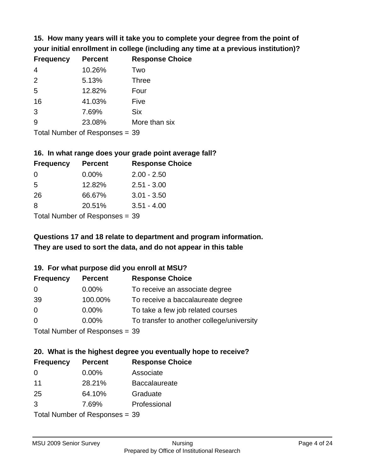**15. How many years will it take you to complete your degree from the point of your initial enrollment in college (including any time at a previous institution)?**

| <b>Frequency</b> | <b>Percent</b> | <b>Response Choice</b> |
|------------------|----------------|------------------------|
| $\overline{4}$   | 10.26%         | Two                    |
| 2                | 5.13%          | <b>Three</b>           |
| 5                | 12.82%         | Four                   |
| 16               | 41.03%         | Five                   |
| 3                | 7.69%          | <b>Six</b>             |
| 9                | 23.08%         | More than six          |
|                  |                |                        |

Total Number of Responses = 39

#### **16. In what range does your grade point average fall?**

| <b>Frequency</b> | <b>Percent</b> | <b>Response Choice</b> |
|------------------|----------------|------------------------|
| -0               | $0.00\%$       | $2.00 - 2.50$          |
| 5                | 12.82%         | $2.51 - 3.00$          |
| 26               | 66.67%         | $3.01 - 3.50$          |
| 8                | 20.51%         | $3.51 - 4.00$          |
| _                |                |                        |

Total Number of Responses = 39

# **They are used to sort the data, and do not appear in this table Questions 17 and 18 relate to department and program information.**

#### **19. For what purpose did you enroll at MSU?**

| <b>Frequency</b>               | <b>Percent</b> | <b>Response Choice</b>                    |
|--------------------------------|----------------|-------------------------------------------|
| 0                              | $0.00\%$       | To receive an associate degree            |
| 39                             | 100.00%        | To receive a baccalaureate degree         |
| $\overline{0}$                 | $0.00\%$       | To take a few job related courses         |
| $\Omega$                       | $0.00\%$       | To transfer to another college/university |
| Total Number of Responses = 39 |                |                                           |

# **20. What is the highest degree you eventually hope to receive?**

| <b>Frequency</b> | <b>Percent</b>                 | <b>Response Choice</b> |
|------------------|--------------------------------|------------------------|
| $\Omega$         | 0.00%                          | Associate              |
| 11               | 28.21%                         | <b>Baccalaureate</b>   |
| 25               | 64.10%                         | Graduate               |
| 3                | 7.69%                          | Professional           |
|                  | Total Number of Reconnege – 30 |                        |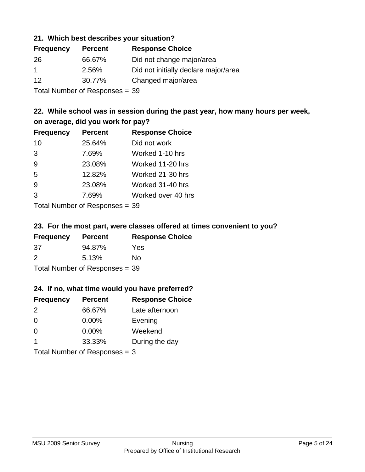#### **21. Which best describes your situation?**

| <b>Frequency</b> | <b>Percent</b> | <b>Response Choice</b>               |
|------------------|----------------|--------------------------------------|
| 26               | 66.67%         | Did not change major/area            |
| -1               | 2.56%          | Did not initially declare major/area |
| -12              | 30.77%         | Changed major/area                   |
|                  |                |                                      |

Total Number of Responses = 39

### **22. While school was in session during the past year, how many hours per week, on average, did you work for pay?**

| <b>Frequency</b> | <b>Percent</b> | <b>Response Choice</b> |
|------------------|----------------|------------------------|
| 10               | 25.64%         | Did not work           |
| 3                | 7.69%          | Worked 1-10 hrs        |
| 9                | 23.08%         | Worked 11-20 hrs       |
| 5                | 12.82%         | Worked 21-30 hrs       |
| 9                | 23.08%         | Worked 31-40 hrs       |
| 3                | 7.69%          | Worked over 40 hrs     |
|                  |                |                        |

Total Number of Responses = 39

#### **23. For the most part, were classes offered at times convenient to you?**

| <b>Frequency</b>               | <b>Percent</b> | <b>Response Choice</b> |
|--------------------------------|----------------|------------------------|
| 37                             | 94.87%         | Yes                    |
| $\mathcal{P}$                  | 5.13%          | Nο                     |
| Total Number of Responses = 39 |                |                        |

#### **24. If no, what time would you have preferred?**

| <b>Frequency</b>                | <b>Percent</b> | <b>Response Choice</b> |
|---------------------------------|----------------|------------------------|
| 2                               | 66.67%         | Late afternoon         |
| $\overline{0}$                  | $0.00\%$       | Evening                |
| 0                               | $0.00\%$       | Weekend                |
| $\overline{\mathbf{1}}$         | 33.33%         | During the day         |
| Total Number of Responses = $3$ |                |                        |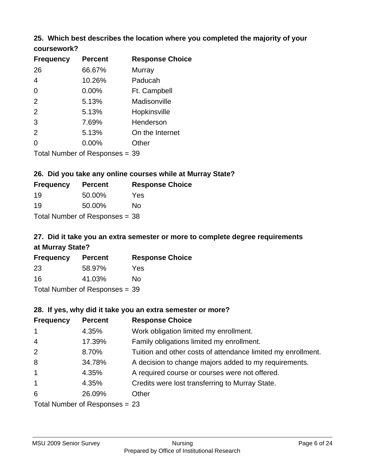# **25. Which best describes the location where you completed the majority of your**

| coursework? |  |
|-------------|--|
|-------------|--|

| <b>Frequency</b> | <b>Percent</b>                 | <b>Response Choice</b> |
|------------------|--------------------------------|------------------------|
| 26               | 66.67%                         | Murray                 |
| $\overline{4}$   | 10.26%                         | Paducah                |
| $\Omega$         | $0.00\%$                       | Ft. Campbell           |
| 2                | 5.13%                          | Madisonville           |
| 2                | 5.13%                          | Hopkinsville           |
| 3                | 7.69%                          | Henderson              |
| 2                | 5.13%                          | On the Internet        |
| 0                | 0.00%                          | Other                  |
|                  | Total Number of Responses = 39 |                        |

#### **26. Did you take any online courses while at Murray State?**

| <b>Frequency</b> | <b>Percent</b>                 | <b>Response Choice</b> |
|------------------|--------------------------------|------------------------|
| 19               | 50.00%                         | Yes                    |
| 19               | 50.00%                         | Nο                     |
|                  | Total Number of Responses = 38 |                        |

# **27. Did it take you an extra semester or more to complete degree requirements at Murray State?**

| <b>Frequency</b> | <b>Percent</b>                 | <b>Response Choice</b> |
|------------------|--------------------------------|------------------------|
| 23               | 58.97%                         | Yes                    |
| 16               | 41.03%                         | No                     |
|                  | Total Number of Responses = 39 |                        |

#### **28. If yes, why did it take you an extra semester or more?**

| <b>Frequency</b>                 | <b>Percent</b> | <b>Response Choice</b>                                       |  |
|----------------------------------|----------------|--------------------------------------------------------------|--|
| $\mathbf{1}$                     | 4.35%          | Work obligation limited my enrollment.                       |  |
| $\overline{4}$                   | 17.39%         | Family obligations limited my enrollment.                    |  |
| 2                                | 8.70%          | Tuition and other costs of attendance limited my enrollment. |  |
| 8                                | 34.78%         | A decision to change majors added to my requirements.        |  |
| $\mathbf{1}$                     | 4.35%          | A required course or courses were not offered.               |  |
| $\mathbf{1}$                     | 4.35%          | Credits were lost transferring to Murray State.              |  |
| 6                                | 26.09%         | Other                                                        |  |
| Total Number of Responses $= 23$ |                |                                                              |  |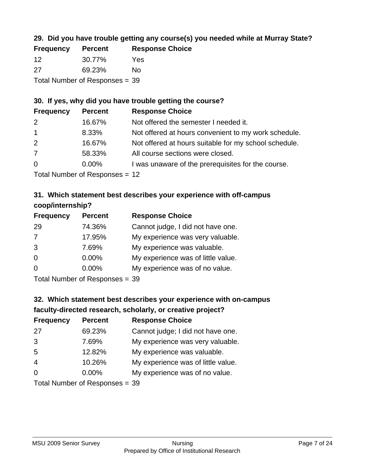# **29. Did you have trouble getting any course(s) you needed while at Murray State?**

| <b>Frequency</b>               | <b>Percent</b> | <b>Response Choice</b> |  |
|--------------------------------|----------------|------------------------|--|
| -12                            | 30.77%         | Yes                    |  |
| -27                            | 69.23%         | Nο                     |  |
| Total Number of Responses = 39 |                |                        |  |

#### **30. If yes, why did you have trouble getting the course?**

| <b>Frequency</b> | <b>Percent</b> | <b>Response Choice</b>                                |
|------------------|----------------|-------------------------------------------------------|
| 2                | 16.67%         | Not offered the semester I needed it.                 |
| $\overline{1}$   | 8.33%          | Not offered at hours convenient to my work schedule.  |
| 2                | 16.67%         | Not offered at hours suitable for my school schedule. |
| $\overline{7}$   | 58.33%         | All course sections were closed.                      |
| $\overline{0}$   | $0.00\%$       | I was unaware of the prerequisites for the course.    |
|                  |                |                                                       |

Total Number of Responses = 12

# **31. Which statement best describes your experience with off-campus coop/internship?**

| <b>Frequency</b> | <b>Percent</b> | <b>Response Choice</b>             |
|------------------|----------------|------------------------------------|
| 29               | 74.36%         | Cannot judge, I did not have one.  |
| 7                | 17.95%         | My experience was very valuable.   |
| 3                | 7.69%          | My experience was valuable.        |
| $\Omega$         | $0.00\%$       | My experience was of little value. |
| $\Omega$         | 0.00%          | My experience was of no value.     |
|                  |                |                                    |

Total Number of Responses = 39

# **32. Which statement best describes your experience with on-campus faculty-directed research, scholarly, or creative project?**

| <b>Frequency</b> | <b>Percent</b>               | <b>Response Choice</b>             |
|------------------|------------------------------|------------------------------------|
| 27               | 69.23%                       | Cannot judge; I did not have one.  |
| 3                | 7.69%                        | My experience was very valuable.   |
| 5                | 12.82%                       | My experience was valuable.        |
| $\overline{4}$   | 10.26%                       | My experience was of little value. |
| $\Omega$         | 0.00%                        | My experience was of no value.     |
|                  | $Total Number of Denonone -$ |                                    |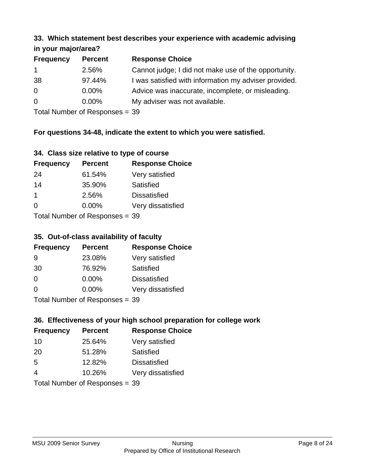#### **33. Which statement best describes your experience with academic advising in your major/area?**

| $\mathbf{u}$ yvu $\mathbf{u}$ yvu $\mathbf{u}$ |                |                                                       |
|------------------------------------------------|----------------|-------------------------------------------------------|
| <b>Frequency</b>                               | <b>Percent</b> | <b>Response Choice</b>                                |
| $\mathbf 1$                                    | 2.56%          | Cannot judge; I did not make use of the opportunity.  |
| 38                                             | 97.44%         | I was satisfied with information my adviser provided. |
| $\overline{0}$                                 | 0.00%          | Advice was inaccurate, incomplete, or misleading.     |
| $\overline{0}$                                 | 0.00%          | My adviser was not available.                         |
|                                                |                |                                                       |

Total Number of Responses = 39

### **For questions 34-48, indicate the extent to which you were satisfied.**

| 34. Class size relative to type of course |  |  |  |  |  |  |  |  |
|-------------------------------------------|--|--|--|--|--|--|--|--|
|-------------------------------------------|--|--|--|--|--|--|--|--|

| <b>Frequency</b> | <b>Percent</b>                 | <b>Response Choice</b> |
|------------------|--------------------------------|------------------------|
| 24               | 61.54%                         | Very satisfied         |
| 14               | 35.90%                         | Satisfied              |
| -1               | 2.56%                          | <b>Dissatisfied</b>    |
| $\Omega$         | $0.00\%$                       | Very dissatisfied      |
|                  | Total Number of Responses - 30 |                        |

 $Total Number$  or Responses =  $39$ 

#### **35. Out-of-class availability of faculty**

| <b>Frequency</b> | <b>Percent</b>             | <b>Response Choice</b> |
|------------------|----------------------------|------------------------|
| 9                | 23.08%                     | Very satisfied         |
| 30               | 76.92%                     | Satisfied              |
| $\Omega$         | $0.00\%$                   | <b>Dissatisfied</b>    |
| $\Omega$         | $0.00\%$                   | Very dissatisfied      |
|                  | Total Number of Decononces |                        |

Total Number of Responses = 39

# **36. Effectiveness of your high school preparation for college work**

| <b>Frequency</b>                | <b>Percent</b> | <b>Response Choice</b> |  |  |
|---------------------------------|----------------|------------------------|--|--|
| 10                              | 25.64%         | Very satisfied         |  |  |
| 20                              | 51.28%         | Satisfied              |  |  |
| 5                               | 12.82%         | <b>Dissatisfied</b>    |  |  |
| 4                               | 10.26%         | Very dissatisfied      |  |  |
| Total Number of Decononces - 20 |                |                        |  |  |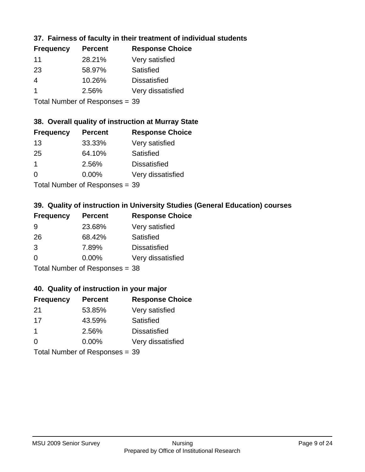### **37. Fairness of faculty in their treatment of individual students**

| <b>Frequency</b> | <b>Percent</b> | <b>Response Choice</b> |
|------------------|----------------|------------------------|
| 11               | 28.21%         | Very satisfied         |
| 23               | 58.97%         | Satisfied              |
| 4                | 10.26%         | <b>Dissatisfied</b>    |
| -1               | 2.56%          | Very dissatisfied      |
|                  |                |                        |

Total Number of Responses = 39

#### **38. Overall quality of instruction at Murray State**

| <b>Frequency</b> | <b>Percent</b>            | <b>Response Choice</b> |
|------------------|---------------------------|------------------------|
| 13               | 33.33%                    | Very satisfied         |
| 25               | 64.10%                    | <b>Satisfied</b>       |
| $\mathbf 1$      | 2.56%                     | <b>Dissatisfied</b>    |
| $\Omega$         | 0.00%                     | Very dissatisfied      |
|                  | Total Number of Deepensee |                        |

Total Number of Responses = 39

# **39. Quality of instruction in University Studies (General Education) courses**

| <b>Frequency</b> | <b>Percent</b>                 | <b>Response Choice</b> |
|------------------|--------------------------------|------------------------|
| 9                | 23.68%                         | Very satisfied         |
| 26               | 68.42%                         | <b>Satisfied</b>       |
| 3                | 7.89%                          | <b>Dissatisfied</b>    |
| $\Omega$         | 0.00%                          | Very dissatisfied      |
|                  | Total Number of Responses = 38 |                        |

#### **40. Quality of instruction in your major**

| <b>Frequency</b> | <b>Percent</b>                 | <b>Response Choice</b> |
|------------------|--------------------------------|------------------------|
| 21               | 53.85%                         | Very satisfied         |
| 17               | 43.59%                         | <b>Satisfied</b>       |
| $\mathbf 1$      | 2.56%                          | <b>Dissatisfied</b>    |
| $\Omega$         | 0.00%                          | Very dissatisfied      |
|                  | Total Number of Responses = 39 |                        |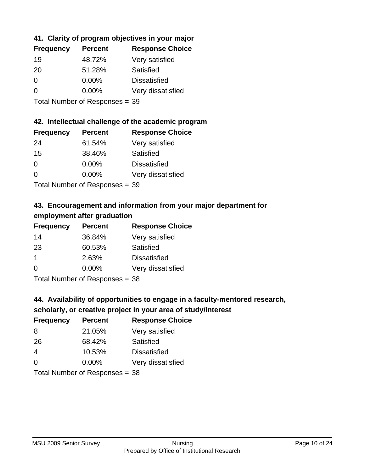# **41. Clarity of program objectives in your major**

| <b>Frequency</b> | <b>Percent</b> | <b>Response Choice</b> |
|------------------|----------------|------------------------|
| 19               | 48.72%         | Very satisfied         |
| 20               | 51.28%         | Satisfied              |
| 0                | $0.00\%$       | <b>Dissatisfied</b>    |
| ∩                | $0.00\%$       | Very dissatisfied      |
|                  |                |                        |

Total Number of Responses = 39

#### **42. Intellectual challenge of the academic program**

| <b>Frequency</b> | <b>Percent</b> | <b>Response Choice</b> |
|------------------|----------------|------------------------|
| 24               | 61.54%         | Very satisfied         |
| 15               | 38.46%         | Satisfied              |
| $\Omega$         | 0.00%          | <b>Dissatisfied</b>    |
| ∩                | 0.00%          | Very dissatisfied      |
|                  |                |                        |

Total Number of Responses = 39

# **43. Encouragement and information from your major department for employment after graduation**

| <b>Frequency</b> | <b>Percent</b> | <b>Response Choice</b> |
|------------------|----------------|------------------------|
| 14               | 36.84%         | Very satisfied         |
| 23               | 60.53%         | Satisfied              |
| $\mathbf 1$      | 2.63%          | <b>Dissatisfied</b>    |
| $\Omega$         | $0.00\%$       | Very dissatisfied      |
|                  |                |                        |

Total Number of Responses = 38

# **44. Availability of opportunities to engage in a faculty-mentored research,**

# **scholarly, or creative project in your area of study/interest**

| <b>Frequency</b> | <b>Percent</b> | <b>Response Choice</b> |
|------------------|----------------|------------------------|
| 8                | 21.05%         | Very satisfied         |
| 26               | 68.42%         | Satisfied              |
| 4                | 10.53%         | <b>Dissatisfied</b>    |
| $\Omega$         | 0.00%          | Very dissatisfied      |
|                  |                |                        |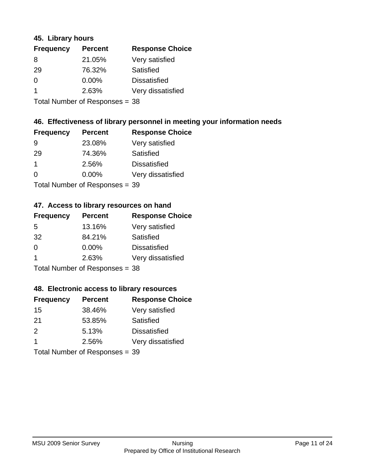#### **45. Library hours**

| <b>Frequency</b> | <b>Percent</b> | <b>Response Choice</b> |
|------------------|----------------|------------------------|
| 8                | 21.05%         | Very satisfied         |
| 29               | 76.32%         | Satisfied              |
| $\Omega$         | $0.00\%$       | <b>Dissatisfied</b>    |
| -1               | 2.63%          | Very dissatisfied      |
|                  |                |                        |

Total Number of Responses = 38

#### **46. Effectiveness of library personnel in meeting your information needs**

| <b>Frequency</b> | <b>Percent</b> | <b>Response Choice</b> |
|------------------|----------------|------------------------|
| 9                | 23.08%         | Very satisfied         |
| 29               | 74.36%         | Satisfied              |
| $\mathbf 1$      | 2.56%          | <b>Dissatisfied</b>    |
| $\Omega$         | 0.00%          | Very dissatisfied      |
|                  |                |                        |

Total Number of Responses = 39

#### **47. Access to library resources on hand**

| <b>Frequency</b> | <b>Percent</b>                  | <b>Response Choice</b> |
|------------------|---------------------------------|------------------------|
| 5                | 13.16%                          | Very satisfied         |
| 32               | 84.21%                          | Satisfied              |
| $\Omega$         | $0.00\%$                        | <b>Dissatisfied</b>    |
| -1               | 2.63%                           | Very dissatisfied      |
|                  | $Total Number of Denonose = 29$ |                        |

Total Number of Responses = 38

#### **48. Electronic access to library resources**

| <b>Frequency</b> | <b>Percent</b>                 | <b>Response Choice</b> |
|------------------|--------------------------------|------------------------|
| 15               | 38.46%                         | Very satisfied         |
| 21               | 53.85%                         | Satisfied              |
| 2                | 5.13%                          | <b>Dissatisfied</b>    |
| $\mathbf 1$      | 2.56%                          | Very dissatisfied      |
|                  | Total Number of Responses = 39 |                        |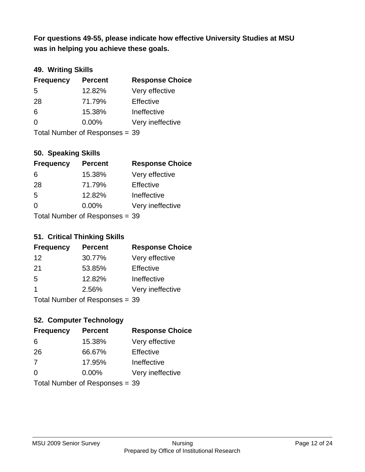**was in helping you achieve these goals. For questions 49-55, please indicate how effective University Studies at MSU** 

# **49. Writing Skills**

| <b>Frequency</b> | <b>Percent</b>                 | <b>Response Choice</b> |
|------------------|--------------------------------|------------------------|
| 5                | 12.82%                         | Very effective         |
| 28               | 71.79%                         | Effective              |
| 6                | 15.38%                         | Ineffective            |
| $\Omega$         | $0.00\%$                       | Very ineffective       |
|                  | Total Number of Responses = 39 |                        |

#### **50. Speaking Skills**

| <b>Frequency</b> | <b>Percent</b>                 | <b>Response Choice</b> |
|------------------|--------------------------------|------------------------|
| 6                | 15.38%                         | Very effective         |
| 28               | 71.79%                         | Effective              |
| 5                | 12.82%                         | Ineffective            |
| $\Omega$         | $0.00\%$                       | Very ineffective       |
|                  | Total Number of Responses = 39 |                        |

#### **51. Critical Thinking Skills**

| <b>Frequency</b> | <b>Percent</b>             | <b>Response Choice</b> |
|------------------|----------------------------|------------------------|
| -12              | 30.77%                     | Very effective         |
| -21              | 53.85%                     | Effective              |
| -5               | 12.82%                     | Ineffective            |
| 1                | 2.56%                      | Very ineffective       |
|                  | Total Number of Denonone – |                        |

Total Number of Responses = 39

# **52. Computer Technology**

| <b>Frequency</b> | <b>Percent</b>                 | <b>Response Choice</b> |
|------------------|--------------------------------|------------------------|
| 6                | 15.38%                         | Very effective         |
| 26               | 66.67%                         | Effective              |
| 7                | 17.95%                         | Ineffective            |
| $\Omega$         | $0.00\%$                       | Very ineffective       |
|                  | Total Number of Responses = 39 |                        |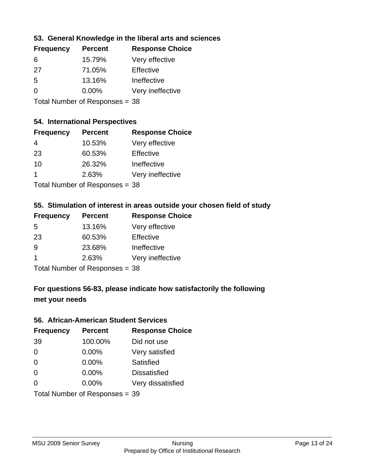#### **53. General Knowledge in the liberal arts and sciences**

| <b>Frequency</b> | <b>Percent</b> | <b>Response Choice</b> |
|------------------|----------------|------------------------|
| 6                | 15.79%         | Very effective         |
| 27               | 71.05%         | Effective              |
| .5               | 13.16%         | Ineffective            |
| $\Omega$         | 0.00%          | Very ineffective       |
|                  |                |                        |

Total Number of Responses = 38

#### **54. International Perspectives**

| <b>Frequency</b>            | <b>Percent</b> | <b>Response Choice</b> |
|-----------------------------|----------------|------------------------|
| 4                           | 10.53%         | Very effective         |
| 23                          | 60.53%         | Effective              |
| 10                          | 26.32%         | Ineffective            |
| 1                           | 2.63%          | Very ineffective       |
| Tatal Mussakers of December |                |                        |

Total Number of Responses = 38

# **55. Stimulation of interest in areas outside your chosen field of study**

| <b>Frequency</b>               | <b>Percent</b> | <b>Response Choice</b> |
|--------------------------------|----------------|------------------------|
| 5                              | 13.16%         | Very effective         |
| 23                             | 60.53%         | Effective              |
| 9                              | 23.68%         | Ineffective            |
| -1                             | 2.63%          | Very ineffective       |
| Total Number of Responses = 38 |                |                        |

# **For questions 56-83, please indicate how satisfactorily the following met your needs**

#### **56. African-American Student Services**

| <b>Frequency</b> | <b>Percent</b>                 | <b>Response Choice</b> |
|------------------|--------------------------------|------------------------|
| 39               | 100.00%                        | Did not use            |
| 0                | 0.00%                          | Very satisfied         |
| 0                | 0.00%                          | Satisfied              |
| 0                | $0.00\%$                       | <b>Dissatisfied</b>    |
| $\Omega$         | 0.00%                          | Very dissatisfied      |
|                  | Total Number of Responses = 39 |                        |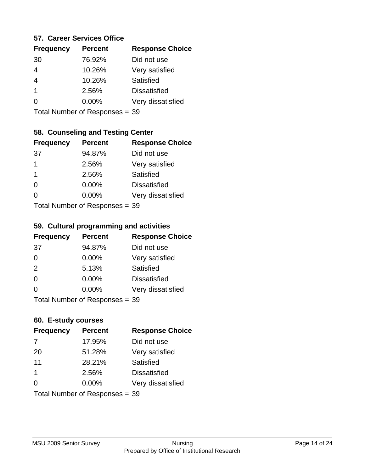#### **57. Career Services Office**

| <b>Frequency</b> | <b>Percent</b> | <b>Response Choice</b> |
|------------------|----------------|------------------------|
| 30               | 76.92%         | Did not use            |
| 4                | 10.26%         | Very satisfied         |
| 4                | 10.26%         | Satisfied              |
| 1                | 2.56%          | <b>Dissatisfied</b>    |
|                  | $0.00\%$       | Very dissatisfied      |
|                  |                |                        |

Total Number of Responses = 39

# **58. Counseling and Testing Center**

| <b>Frequency</b> | <b>Percent</b>            | <b>Response Choice</b> |
|------------------|---------------------------|------------------------|
| -37              | 94.87%                    | Did not use            |
| 1                | 2.56%                     | Very satisfied         |
| 1                | 2.56%                     | <b>Satisfied</b>       |
| 0                | 0.00%                     | <b>Dissatisfied</b>    |
| 0                | 0.00%                     | Very dissatisfied      |
|                  | Total Number of Deepersee |                        |

Total Number of Responses = 39

#### **59. Cultural programming and activities**

| <b>Frequency</b> | <b>Percent</b>                 | <b>Response Choice</b> |
|------------------|--------------------------------|------------------------|
| -37              | 94.87%                         | Did not use            |
| $\Omega$         | $0.00\%$                       | Very satisfied         |
| 2                | 5.13%                          | Satisfied              |
| $\Omega$         | $0.00\%$                       | <b>Dissatisfied</b>    |
| $\Omega$         | $0.00\%$                       | Very dissatisfied      |
|                  | Total Number of Responses = 39 |                        |

#### **60. E-study courses**

| <b>Frequency</b> | <b>Percent</b>                 | <b>Response Choice</b> |
|------------------|--------------------------------|------------------------|
| 7                | 17.95%                         | Did not use            |
| 20               | 51.28%                         | Very satisfied         |
| 11               | 28.21%                         | Satisfied              |
| $\mathbf 1$      | 2.56%                          | <b>Dissatisfied</b>    |
| $\Omega$         | $0.00\%$                       | Very dissatisfied      |
|                  | Total Number of Responses = 39 |                        |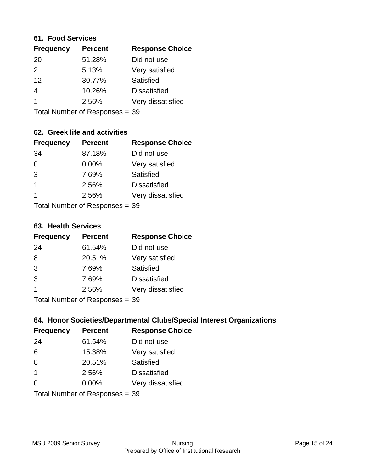#### **61. Food Services**

| <b>Frequency</b> | <b>Percent</b> | <b>Response Choice</b> |
|------------------|----------------|------------------------|
| 20               | 51.28%         | Did not use            |
| $\mathcal{P}$    | 5.13%          | Very satisfied         |
| 12               | 30.77%         | Satisfied              |
| 4                | 10.26%         | <b>Dissatisfied</b>    |
|                  | 2.56%          | Very dissatisfied      |
|                  |                |                        |

Total Number of Responses = 39

# **62. Greek life and activities**

| <b>Frequency</b> | <b>Percent</b>                 | <b>Response Choice</b> |
|------------------|--------------------------------|------------------------|
| 34               | 87.18%                         | Did not use            |
| 0                | 0.00%                          | Very satisfied         |
| 3                | 7.69%                          | <b>Satisfied</b>       |
| 1                | 2.56%                          | <b>Dissatisfied</b>    |
| 1                | 2.56%                          | Very dissatisfied      |
|                  | Total Number of Responses = 39 |                        |

**63. Health Services**

| <b>Frequency</b> | <b>Percent</b>              | <b>Response Choice</b> |
|------------------|-----------------------------|------------------------|
| 24               | 61.54%                      | Did not use            |
| 8                | 20.51%                      | Very satisfied         |
| 3                | 7.69%                       | Satisfied              |
| 3                | 7.69%                       | <b>Dissatisfied</b>    |
|                  | 2.56%                       | Very dissatisfied      |
|                  | Total Number of Depanonce - |                        |

Total Number of Responses = 39

#### **64. Honor Societies/Departmental Clubs/Special Interest Organizations**

| <b>Frequency</b> | <b>Percent</b>                 | <b>Response Choice</b> |
|------------------|--------------------------------|------------------------|
| 24               | 61.54%                         | Did not use            |
| 6                | 15.38%                         | Very satisfied         |
| 8                | 20.51%                         | Satisfied              |
| $\overline{1}$   | 2.56%                          | <b>Dissatisfied</b>    |
| $\Omega$         | 0.00%                          | Very dissatisfied      |
|                  | Total Number of Responses = 39 |                        |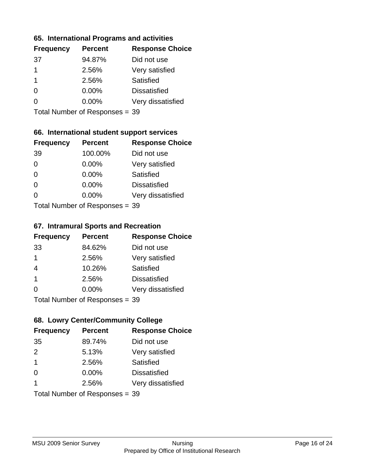#### **65. International Programs and activities**

| <b>Frequency</b> | <b>Percent</b> | <b>Response Choice</b> |
|------------------|----------------|------------------------|
| 37               | 94.87%         | Did not use            |
| 1                | 2.56%          | Very satisfied         |
| 1                | 2.56%          | Satisfied              |
|                  | $0.00\%$       | <b>Dissatisfied</b>    |
|                  | $0.00\%$       | Very dissatisfied      |
|                  |                |                        |

Total Number of Responses = 39

### **66. International student support services**

| <b>Frequency</b> | <b>Percent</b>            | <b>Response Choice</b> |
|------------------|---------------------------|------------------------|
| 39               | 100.00%                   | Did not use            |
| 0                | 0.00%                     | Very satisfied         |
| $\Omega$         | $0.00\%$                  | <b>Satisfied</b>       |
| $\Omega$         | 0.00%                     | <b>Dissatisfied</b>    |
| $\Omega$         | 0.00%                     | Very dissatisfied      |
|                  | Total Number of Desponses |                        |

Total Number of Responses = 39

#### **67. Intramural Sports and Recreation**

| <b>Frequency</b>        | <b>Percent</b>                 | <b>Response Choice</b> |
|-------------------------|--------------------------------|------------------------|
| 33                      | 84.62%                         | Did not use            |
| $\mathbf 1$             | 2.56%                          | Very satisfied         |
| $\overline{4}$          | 10.26%                         | Satisfied              |
| $\overline{\mathbf{1}}$ | 2.56%                          | <b>Dissatisfied</b>    |
| $\Omega$                | $0.00\%$                       | Very dissatisfied      |
|                         | Total Number of Poenances - 30 |                        |

Total Number of Responses = 39

# **68. Lowry Center/Community College**

| <b>Frequency</b> | <b>Percent</b>                 | <b>Response Choice</b> |
|------------------|--------------------------------|------------------------|
| 35               | 89.74%                         | Did not use            |
| 2                | 5.13%                          | Very satisfied         |
| $\mathbf 1$      | 2.56%                          | Satisfied              |
| $\Omega$         | $0.00\%$                       | <b>Dissatisfied</b>    |
|                  | 2.56%                          | Very dissatisfied      |
|                  | Total Number of Responses = 39 |                        |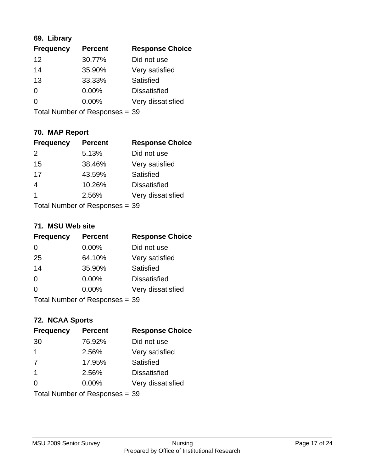# **69. Library**

| <b>Frequency</b> | <b>Percent</b> | <b>Response Choice</b> |
|------------------|----------------|------------------------|
| 12               | 30.77%         | Did not use            |
| 14               | 35.90%         | Very satisfied         |
| 13               | 33.33%         | Satisfied              |
| $\Omega$         | 0.00%          | <b>Dissatisfied</b>    |
| $\Omega$         | $0.00\%$       | Very dissatisfied      |
|                  |                |                        |

Total Number of Responses = 39

# **70. MAP Report**

| <b>Frequency</b> | <b>Percent</b>                 | <b>Response Choice</b> |
|------------------|--------------------------------|------------------------|
| $\mathcal{P}$    | 5.13%                          | Did not use            |
| 15               | 38.46%                         | Very satisfied         |
| 17               | 43.59%                         | Satisfied              |
| $\overline{4}$   | 10.26%                         | <b>Dissatisfied</b>    |
| 1                | 2.56%                          | Very dissatisfied      |
|                  | Total Number of Responses = 39 |                        |

#### **71. MSU Web site**

| <b>Frequency</b> | <b>Percent</b>                 | <b>Response Choice</b> |
|------------------|--------------------------------|------------------------|
| $\Omega$         | $0.00\%$                       | Did not use            |
| 25               | 64.10%                         | Very satisfied         |
| 14               | 35.90%                         | Satisfied              |
| $\Omega$         | $0.00\%$                       | <b>Dissatisfied</b>    |
| $\Omega$         | $0.00\%$                       | Very dissatisfied      |
|                  | Total Number of Responses = 39 |                        |

#### **72. NCAA Sports**

| <b>Frequency</b> | <b>Percent</b>                 | <b>Response Choice</b> |
|------------------|--------------------------------|------------------------|
| 30               | 76.92%                         | Did not use            |
| $\mathbf 1$      | 2.56%                          | Very satisfied         |
| 7                | 17.95%                         | Satisfied              |
| -1               | 2.56%                          | <b>Dissatisfied</b>    |
| ∩                | 0.00%                          | Very dissatisfied      |
|                  | Total Number of Responses = 39 |                        |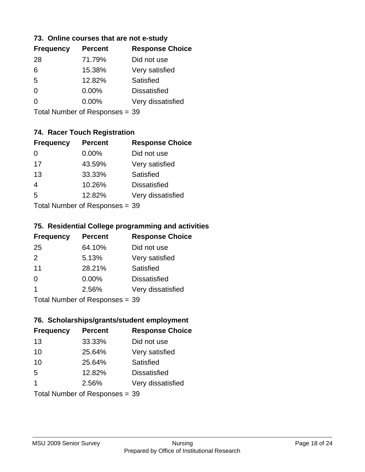#### **73. Online courses that are not e-study**

| <b>Frequency</b> | <b>Percent</b> | <b>Response Choice</b> |
|------------------|----------------|------------------------|
| 28               | 71.79%         | Did not use            |
| 6                | 15.38%         | Very satisfied         |
| 5                | 12.82%         | Satisfied              |
| 0                | $0.00\%$       | <b>Dissatisfied</b>    |
|                  | $0.00\%$       | Very dissatisfied      |
|                  |                |                        |

Total Number of Responses = 39

# **74. Racer Touch Registration**

| <b>Frequency</b>           | <b>Percent</b> | <b>Response Choice</b> |
|----------------------------|----------------|------------------------|
| 0                          | $0.00\%$       | Did not use            |
| 17                         | 43.59%         | Very satisfied         |
| 13                         | 33.33%         | <b>Satisfied</b>       |
| $\overline{4}$             | 10.26%         | <b>Dissatisfied</b>    |
| 5                          | 12.82%         | Very dissatisfied      |
| Total Number of Deepersoon |                |                        |

Total Number of Responses = 39

#### **75. Residential College programming and activities**

| <b>Frequency</b> | <b>Percent</b>               | <b>Response Choice</b> |
|------------------|------------------------------|------------------------|
| 25               | 64.10%                       | Did not use            |
| $\mathcal{P}$    | 5.13%                        | Very satisfied         |
| 11               | 28.21%                       | Satisfied              |
| $\Omega$         | 0.00%                        | <b>Dissatisfied</b>    |
| -1               | 2.56%                        | Very dissatisfied      |
|                  | $Total Number of Denonce 20$ |                        |

Total Number of Responses = 39

# **76. Scholarships/grants/student employment**

| <b>Frequency</b> | <b>Percent</b>                 | <b>Response Choice</b> |
|------------------|--------------------------------|------------------------|
| 13               | 33.33%                         | Did not use            |
| 10               | 25.64%                         | Very satisfied         |
| 10               | 25.64%                         | Satisfied              |
| 5                | 12.82%                         | <b>Dissatisfied</b>    |
| 1                | 2.56%                          | Very dissatisfied      |
|                  | Total Number of Responses = 39 |                        |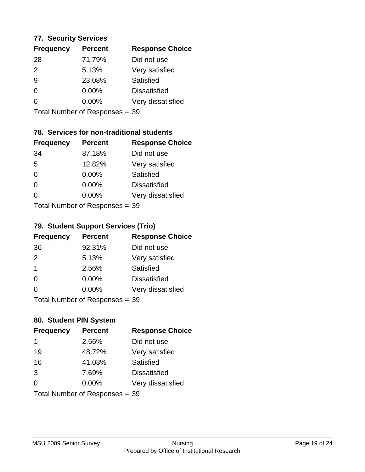#### **77. Security Services**

| <b>Frequency</b> | <b>Percent</b> | <b>Response Choice</b> |
|------------------|----------------|------------------------|
| 28               | 71.79%         | Did not use            |
| $\mathcal{P}$    | 5.13%          | Very satisfied         |
| 9                | 23.08%         | Satisfied              |
| 0                | $0.00\%$       | <b>Dissatisfied</b>    |
| O                | $0.00\%$       | Very dissatisfied      |
|                  |                |                        |

Total Number of Responses = 39

### **78. Services for non-traditional students**

| <b>Frequency</b> | <b>Percent</b>            | <b>Response Choice</b> |
|------------------|---------------------------|------------------------|
| 34               | 87.18%                    | Did not use            |
| 5                | 12.82%                    | Very satisfied         |
| $\Omega$         | $0.00\%$                  | Satisfied              |
| $\Omega$         | $0.00\%$                  | <b>Dissatisfied</b>    |
| $\Omega$         | 0.00%                     | Very dissatisfied      |
|                  | Total Number of Desponses |                        |

Total Number of Responses = 39

#### **79. Student Support Services (Trio)**

| <b>Frequency</b>        | <b>Percent</b>                  | <b>Response Choice</b> |
|-------------------------|---------------------------------|------------------------|
| 36                      | 92.31%                          | Did not use            |
| 2                       | 5.13%                           | Very satisfied         |
| $\overline{\mathbf{1}}$ | 2.56%                           | Satisfied              |
| $\Omega$                | 0.00%                           | <b>Dissatisfied</b>    |
| $\Omega$                | $0.00\%$                        | Very dissatisfied      |
|                         | $Total Number of Denonose = 20$ |                        |

Total Number of Responses = 39

# **80. Student PIN System**

| <b>Frequency</b> | <b>Percent</b>                 | <b>Response Choice</b> |
|------------------|--------------------------------|------------------------|
| 1                | 2.56%                          | Did not use            |
| 19               | 48.72%                         | Very satisfied         |
| 16               | 41.03%                         | Satisfied              |
| 3                | 7.69%                          | <b>Dissatisfied</b>    |
| $\Omega$         | $0.00\%$                       | Very dissatisfied      |
|                  | Total Number of Responses = 39 |                        |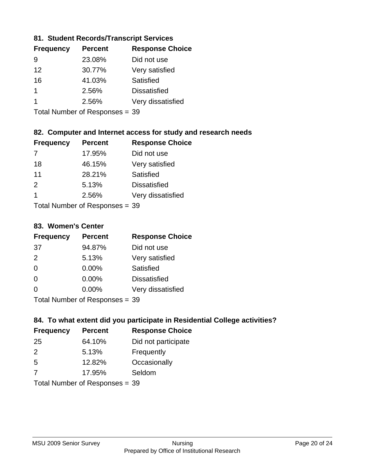#### **81. Student Records/Transcript Services**

| <b>Frequency</b> | <b>Percent</b> | <b>Response Choice</b> |
|------------------|----------------|------------------------|
| 9                | 23.08%         | Did not use            |
| 12               | 30.77%         | Very satisfied         |
| 16               | 41.03%         | Satisfied              |
|                  | 2.56%          | <b>Dissatisfied</b>    |
|                  | 2.56%          | Very dissatisfied      |

Total Number of Responses = 39

### **82. Computer and Internet access for study and research needs**

| <b>Frequency</b>         | <b>Percent</b> | <b>Response Choice</b> |
|--------------------------|----------------|------------------------|
|                          | 17.95%         | Did not use            |
| 18                       | 46.15%         | Very satisfied         |
| 11                       | 28.21%         | Satisfied              |
| 2                        | 5.13%          | <b>Dissatisfied</b>    |
| 1                        | 2.56%          | Very dissatisfied      |
| Tatal Massachuset Dannas |                |                        |

Total Number of Responses = 39

#### **83. Women's Center**

| <b>Frequency</b> | <b>Percent</b>            | <b>Response Choice</b> |
|------------------|---------------------------|------------------------|
| -37              | 94.87%                    | Did not use            |
| 2                | 5.13%                     | Very satisfied         |
| $\Omega$         | $0.00\%$                  | <b>Satisfied</b>       |
| $\Omega$         | $0.00\%$                  | <b>Dissatisfied</b>    |
| $\Omega$         | $0.00\%$                  | Very dissatisfied      |
|                  | Total Number of Desponses |                        |

Total Number of Responses = 39

#### **84. To what extent did you participate in Residential College activities?**

| <b>Frequency</b> | <b>Percent</b>                 | <b>Response Choice</b> |
|------------------|--------------------------------|------------------------|
| 25               | 64.10%                         | Did not participate    |
| $\mathcal{P}$    | 5.13%                          | Frequently             |
| 5                | 12.82%                         | Occasionally           |
| -7               | 17.95%                         | Seldom                 |
|                  | Total Number of Responses = 39 |                        |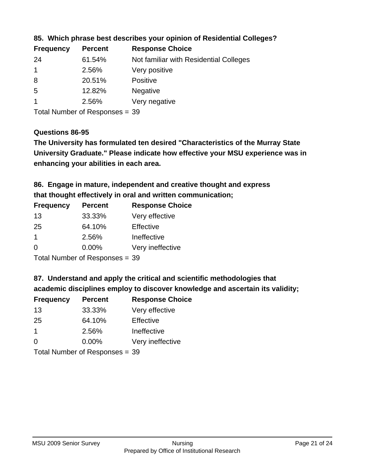| <b>Frequency</b> | <b>Percent</b> | <b>Response Choice</b>                 |
|------------------|----------------|----------------------------------------|
| -24              | 61.54%         | Not familiar with Residential Colleges |
|                  | 2.56%          | Very positive                          |
| 8                | 20.51%         | <b>Positive</b>                        |
| -5               | 12.82%         | <b>Negative</b>                        |
|                  | 2.56%          | Very negative                          |
|                  |                |                                        |

**85. Which phrase best describes your opinion of Residential Colleges?**

Total Number of Responses = 39

#### **Questions 86-95**

**University Graduate." Please indicate how effective your MSU experience was in The University has formulated ten desired "Characteristics of the Murray State enhancing your abilities in each area.**

**86. Engage in mature, independent and creative thought and express that thought effectively in oral and written communication;**

| <b>Frequency</b> | <b>Percent</b> | <b>Response Choice</b> |
|------------------|----------------|------------------------|
| 13               | 33.33%         | Very effective         |
| 25               | 64.10%         | Effective              |
| $\overline{1}$   | 2.56%          | Ineffective            |
| 0                | $0.00\%$       | Very ineffective       |

Total Number of Responses = 39

**87. Understand and apply the critical and scientific methodologies that** 

**academic disciplines employ to discover knowledge and ascertain its validity;**

| <b>Frequency</b> | <b>Percent</b> | <b>Response Choice</b> |
|------------------|----------------|------------------------|
| 13               | 33.33%         | Very effective         |
| 25               | 64.10%         | Effective              |
| $\mathbf 1$      | 2.56%          | Ineffective            |
| $\Omega$         | 0.00%          | Very ineffective       |
|                  |                |                        |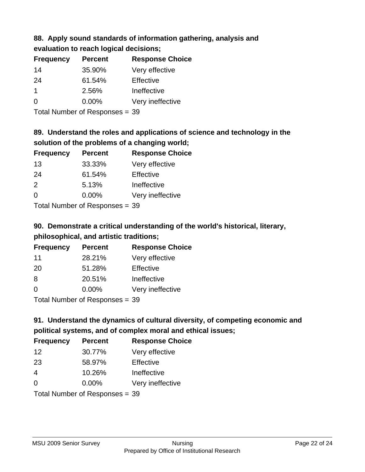# **88. Apply sound standards of information gathering, analysis and**

| evaluation to reach logical decisions; |  |
|----------------------------------------|--|
|----------------------------------------|--|

| <b>Percent</b> | <b>Response Choice</b> |
|----------------|------------------------|
| 35.90%         | Very effective         |
| 61.54%         | Effective              |
| 2.56%          | Ineffective            |
| $0.00\%$       | Very ineffective       |
|                |                        |

Total Number of Responses = 39

# **89. Understand the roles and applications of science and technology in the solution of the problems of a changing world;**

| <b>Frequency</b> | <b>Percent</b> | <b>Response Choice</b> |
|------------------|----------------|------------------------|
| 13               | 33.33%         | Very effective         |
| 24               | 61.54%         | Effective              |
| $\mathcal{P}$    | 5.13%          | Ineffective            |
| $\Omega$         | 0.00%          | Very ineffective       |
|                  |                |                        |

Total Number of Responses = 39

# **90. Demonstrate a critical understanding of the world's historical, literary, philosophical, and artistic traditions;**

| <b>Frequency</b> | <b>Percent</b> | <b>Response Choice</b> |
|------------------|----------------|------------------------|
| 11               | 28.21%         | Very effective         |
| 20               | 51.28%         | Effective              |
| 8                | 20.51%         | Ineffective            |
| ∩                | 0.00%          | Very ineffective       |
|                  |                |                        |

Total Number of Responses = 39

# **91. Understand the dynamics of cultural diversity, of competing economic and political systems, and of complex moral and ethical issues;**

| <b>Frequency</b> | <b>Percent</b>                 | <b>Response Choice</b> |
|------------------|--------------------------------|------------------------|
| 12               | 30.77%                         | Very effective         |
| 23               | 58.97%                         | Effective              |
| $\overline{4}$   | 10.26%                         | Ineffective            |
| $\Omega$         | 0.00%                          | Very ineffective       |
|                  | Total Number of Responses = 39 |                        |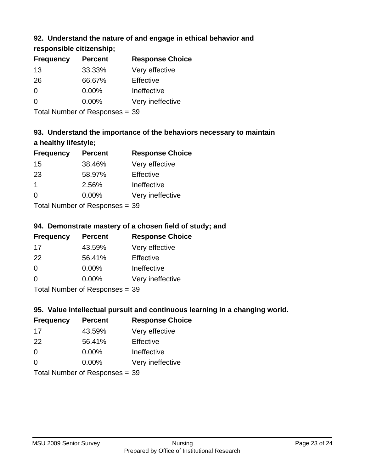# **92. Understand the nature of and engage in ethical behavior and**

**responsible citizenship;**

| <b>Frequency</b> | <b>Percent</b> | <b>Response Choice</b> |
|------------------|----------------|------------------------|
| 13               | 33.33%         | Very effective         |
| 26               | 66.67%         | Effective              |
| 0                | $0.00\%$       | Ineffective            |
| $\Omega$         | 0.00%          | Very ineffective       |
|                  |                |                        |

Total Number of Responses = 39

# **93. Understand the importance of the behaviors necessary to maintain a healthy lifestyle;**

| <b>Frequency</b> | <b>Percent</b> | <b>Response Choice</b> |
|------------------|----------------|------------------------|
| 15               | 38.46%         | Very effective         |
| 23               | 58.97%         | Effective              |
| $\overline{1}$   | 2.56%          | Ineffective            |
| $\Omega$         | 0.00%          | Very ineffective       |
|                  |                |                        |

Total Number of Responses = 39

# **94. Demonstrate mastery of a chosen field of study; and**

| <b>Frequency</b> | <b>Percent</b> | <b>Response Choice</b> |
|------------------|----------------|------------------------|
| 17               | 43.59%         | Very effective         |
| 22               | 56.41%         | Effective              |
| $\Omega$         | 0.00%          | Ineffective            |
| $\Omega$         | 0.00%          | Very ineffective       |
|                  |                |                        |

Total Number of Responses = 39

# **95. Value intellectual pursuit and continuous learning in a changing world.**

| <b>Frequency</b> | <b>Percent</b>             | <b>Response Choice</b> |
|------------------|----------------------------|------------------------|
| 17               | 43.59%                     | Very effective         |
| 22               | 56.41%                     | Effective              |
| $\Omega$         | $0.00\%$                   | Ineffective            |
| $\Omega$         | 0.00%                      | Very ineffective       |
|                  | Total Number of Desperance |                        |